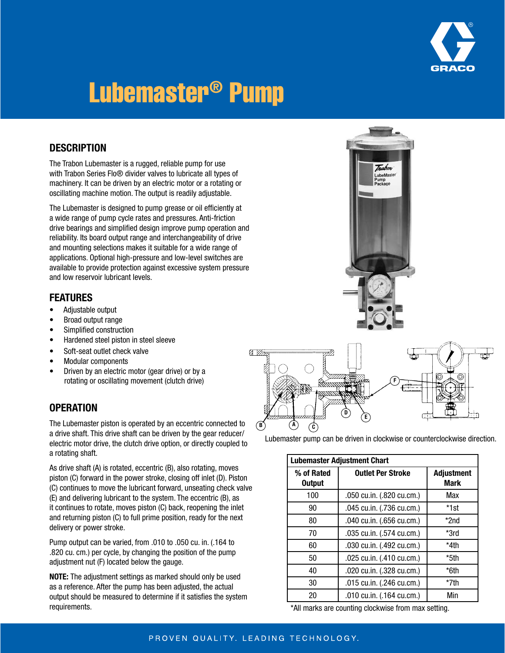

# Lubemaster® Pump

#### **DESCRIPTION**

The Trabon Lubemaster is a rugged, reliable pump for use with Trabon Series Flo® divider valves to lubricate all types of machinery. It can be driven by an electric motor or a rotating or oscillating machine motion. The output is readily adjustable.

The Lubemaster is designed to pump grease or oil efficiently at a wide range of pump cycle rates and pressures. Anti-friction drive bearings and simplified design improve pump operation and reliability. Its board output range and interchangeability of drive and mounting selections makes it suitable for a wide range of applications. Optional high-pressure and low-level switches are available to provide protection against excessive system pressure and low reservoir lubricant levels.

#### FEATURES

- • Adjustable output
- Broad output range
- • Simplified construction
- • Hardened steel piston in steel sleeve
- Soft-seat outlet check valve
- • Modular components
- • Driven by an electric motor (gear drive) or by a rotating or oscillating movement (clutch drive)

#### **OPERATION**

The Lubemaster piston is operated by an eccentric connected to a drive shaft. This drive shaft can be driven by the gear reducer/ electric motor drive, the clutch drive option, or directly coupled to a rotating shaft.

As drive shaft (A) is rotated, eccentric (B), also rotating, moves piston (C) forward in the power stroke, closing off inlet (D). Piston (C) continues to move the lubricant forward, unseating check valve (E) and delivering lubricant to the system. The eccentric (B), as it continues to rotate, moves piston (C) back, reopening the inlet and returning piston (C) to full prime position, ready for the next delivery or power stroke.

Pump output can be varied, from .010 to .050 cu. in. (.164 to .820 cu. cm.) per cycle, by changing the position of the pump adjustment nut (F) located below the gauge.

NOTE: The adjustment settings as marked should only be used as a reference. After the pump has been adjusted, the actual output should be measured to determine if it satisfies the system requirements.





Lubemaster pump can be driven in clockwise or counterclockwise direction.

| <b>Lubemaster Adjustment Chart</b> |                           |                           |  |  |  |  |
|------------------------------------|---------------------------|---------------------------|--|--|--|--|
| % of Rated<br><b>Output</b>        | <b>Outlet Per Stroke</b>  | <b>Adjustment</b><br>Mark |  |  |  |  |
| 100                                | .050 cu.in. (.820 cu.cm.) | Max                       |  |  |  |  |
| 90                                 | .045 cu.in. (.736 cu.cm.) | *1st                      |  |  |  |  |
| 80                                 | .040 cu.in. (.656 cu.cm.) | *2nd                      |  |  |  |  |
| 70                                 | .035 cu.in. (.574 cu.cm.) | *3rd                      |  |  |  |  |
| 60                                 | .030 cu.in. (.492 cu.cm.) | *4th                      |  |  |  |  |
| 50                                 | .025 cu.in. (.410 cu.cm.) | *5th                      |  |  |  |  |
| 40                                 | .020 cu.in. (.328 cu.cm.) | *6th                      |  |  |  |  |
| 30                                 | .015 cu.in. (.246 cu.cm.) | *7th                      |  |  |  |  |
| 20                                 | .010 cu.in. (.164 cu.cm.) | Min                       |  |  |  |  |

\*All marks are counting clockwise from max setting.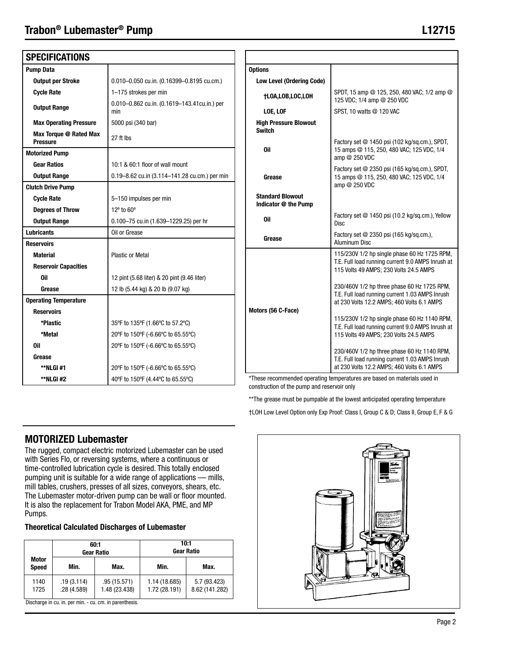# Trabon® Lubemaster® Pump

| <b>SPECIFICATIONS</b>                     |                                                     |                                         |
|-------------------------------------------|-----------------------------------------------------|-----------------------------------------|
| <b>Pump Data</b>                          |                                                     | <b>Options</b>                          |
| <b>Output per Stroke</b>                  | 0.010-0.050 cu.in. (0.16399-0.8195 cu.cm.)          | Low Level (Ord                          |
| <b>Cycle Rate</b>                         | 1-175 strokes per min                               | <b>†LOA,LOB,LO</b>                      |
| <b>Output Range</b>                       | 0.010-0.862 cu.in. (0.1619-143.41cu.in.) per<br>min | LOE, LOF                                |
| <b>Max Operating Pressure</b>             | 5000 psi (340 bar)                                  | <b>High Pressure</b>                    |
| Max Torque @ Rated Max<br><b>Pressure</b> | 27 ft lbs                                           | <b>Switch</b>                           |
| <b>Motorized Pump</b>                     |                                                     | Oil                                     |
| <b>Gear Ratios</b>                        | 10:1 & 60:1 floor of wall mount                     |                                         |
| <b>Output Range</b>                       | 0.19-8.62 cu.in (3.114-141.28 cu.cm.) per min       | Grease                                  |
| <b>Clutch Drive Pump</b>                  |                                                     |                                         |
| <b>Cycle Rate</b>                         | 5-150 impulses per min                              | <b>Standard Blow</b><br>Indicator @ the |
| <b>Degrees of Throw</b>                   | 12° to 60°                                          |                                         |
| <b>Output Range</b>                       | 0.100-75 cu.in (1.639-1229.25) per hr               | <b>Oil</b>                              |
| <b>Lubricants</b>                         | Oil or Grease                                       |                                         |
| <b>Reservoirs</b>                         |                                                     | Grease                                  |
| <b>Material</b>                           | <b>Plastic or Metal</b>                             |                                         |
| <b>Reservoir Capacities</b>               |                                                     |                                         |
| Oil                                       | 12 pint (5.68 liter) & 20 pint (9.46 liter)         |                                         |
| Grease                                    | 12 lb (5.44 kg) & 20 lb (9.07 kg)                   |                                         |
| <b>Operating Temperature</b>              |                                                     |                                         |
| <b>Reservoirs</b>                         |                                                     | Motors (56 C-Face                       |
| *Plastic                                  | 35°F to 135°F (1.66°C to 57.2°C)                    |                                         |
| *Metal                                    | 20°F to 150°F (-6.66°C to 65.55°C)                  |                                         |
| Oil                                       | 20°F to 150°F (-6.66°C to 65.55°C)                  |                                         |
| Grease                                    |                                                     |                                         |
| **NLGI #1                                 | 20°F to 150°F (-6.66°C to 65.55°C)                  |                                         |
| **NLGI #2                                 | 40°F to 150°F (4.44°C to 65.55°C)                   | *These recommeno                        |
|                                           |                                                     | construction of the                     |

| <b>Options</b>                                                     |                                                                                                                                              |  |  |  |
|--------------------------------------------------------------------|----------------------------------------------------------------------------------------------------------------------------------------------|--|--|--|
| <b>Low Level (Ordering Code)</b>                                   |                                                                                                                                              |  |  |  |
| <b>†LOA,LOB,LOC,LOH</b>                                            | SPDT, 15 amp @ 125, 250, 480 VAC; 1/2 amp @<br>125 VDC; 1/4 amp @ 250 VDC                                                                    |  |  |  |
| LOE, LOF                                                           | SPST, 10 watts @ 120 VAC                                                                                                                     |  |  |  |
| <b>High Pressure Blowout</b><br><b>Switch</b>                      |                                                                                                                                              |  |  |  |
| 0il                                                                | Factory set @ 1450 psi (102 kg/sg.cm.), SPDT,<br>15 amps @ 115, 250, 480 VAC; 125 VDC, 1/4<br>amp @ 250 VDC                                  |  |  |  |
| Grease                                                             | Factory set @ 2350 psi (165 kg/sg.cm.), SPDT,<br>15 amps @ 115, 250, 480 VAC; 125 VDC, 1/4<br>amp @ 250 VDC                                  |  |  |  |
| <b>Standard Blowout</b><br>Indicator @ the Pump                    |                                                                                                                                              |  |  |  |
| 0il                                                                | Factory set @ 1450 psi (10.2 kg/sq.cm.), Yellow<br><b>Disc</b>                                                                               |  |  |  |
| Factory set @ 2350 psi (165 kg/sq.cm.),<br>Grease<br>Aluminum Disc |                                                                                                                                              |  |  |  |
|                                                                    | 115/230V 1/2 hp single phase 60 Hz 1725 RPM,<br>T.E. Full load running current 9.0 AMPS Inrush at<br>115 Volts 49 AMPS; 230 Volts 24.5 AMPS  |  |  |  |
| Motors (56 C-Face)                                                 | 230/460V 1/2 hp three phase 60 Hz 1725 RPM,<br>T.E. Full load running current 1.03 AMPS Inrush<br>at 230 Volts 12.2 AMPS; 460 Volts 6.1 AMPS |  |  |  |
|                                                                    | 115/230V 1/2 hp single phase 60 Hz 1140 RPM,<br>T.E. Full load running current 9.0 AMPS Inrush at<br>115 Volts 49 AMPS; 230 Volts 24.5 AMPS  |  |  |  |
|                                                                    | 230/460V 1/2 hp three phase 60 Hz 1140 RPM,<br>T.E. Full load running current 1.03 AMPS Inrush<br>at 230 Volts 12.2 AMPS; 460 Volts 6.1 AMPS |  |  |  |
|                                                                    | *These recommended energing temperatures are hosed on meterials used in                                                                      |  |  |  |

ded operating temperatures are based on materials used in construction of the pump and reservoir only

\*\*The grease must be pumpable at the lowest anticipated operating temperature

†LOH Low Level Option only Exp Proof: Class I, Group C & D; Class II, Group E, F & G

#### MOTORIZED Lubemaster

The rugged, compact electric motorized Lubemaster can be used with Series Flo, or reversing systems, where a continuous or time-controlled lubrication cycle is desired. This totally enclosed pumping unit is suitable for a wide range of applications — mills, mill tables, crushers, presses of all sizes, conveyors, shears, etc. The Lubemaster motor-driven pump can be wall or floor mounted. It is also the replacement for Trabon Model AKA, PME, and MP Pumps.

Theoretical Calculated Discharges of Lubemaster

|                              |                          | 60:1<br><b>Gear Ratio</b>    | 10:1<br><b>Gear Ratio</b>      |                                |  |  |  |
|------------------------------|--------------------------|------------------------------|--------------------------------|--------------------------------|--|--|--|
| <b>Motor</b><br><b>Speed</b> | Min.                     | Max.                         | Min.                           | Max.                           |  |  |  |
| 1140<br>1725                 | .19(3.114)<br>.28(4.589) | .95(15.571)<br>1.48 (23.438) | 1.14 (18.685)<br>1.72 (28.191) | 5.7 (93.423)<br>8.62 (141.282) |  |  |  |

in cu. in. per min. - cu. cm. in pa

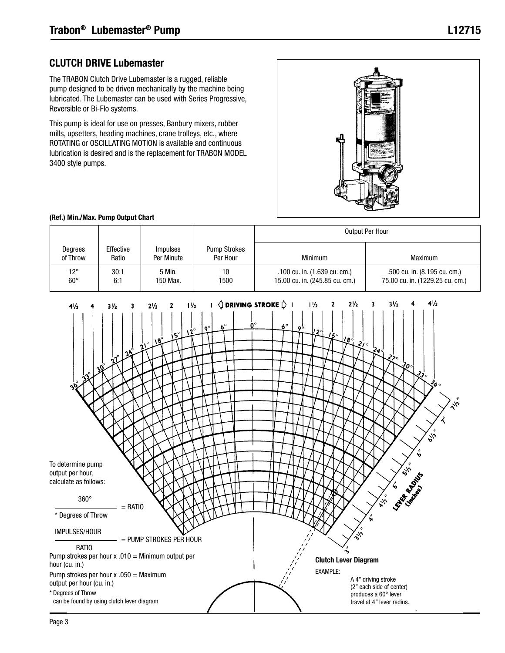#### CLUTCH DRIVE Lubemaster

The TRABON Clutch Drive Lubemaster is a rugged, reliable pump designed to be driven mechanically by the machine being lubricated. The Lubemaster can be used with Series Progressive, Reversible or Bi-Flo systems.

This pump is ideal for use on presses, Banbury mixers, rubber mills, upsetters, heading machines, crane trolleys, etc., where ROTATING or OSCILLATING MOTION is available and continuous lubrication is desired and is the replacement for TRABON MODEL 3400 style pumps.



#### (Ref.) Min./Max. Pump Output Chart

|                              |                    |                               |                                 | Output Per Hour                                                |                                                                 |  |  |  |
|------------------------------|--------------------|-------------------------------|---------------------------------|----------------------------------------------------------------|-----------------------------------------------------------------|--|--|--|
| Degrees<br>of Throw          | Effective<br>Ratio | <i>Impulses</i><br>Per Minute | <b>Pump Strokes</b><br>Per Hour | Minimum                                                        | Maximum                                                         |  |  |  |
| $12^{\circ}$<br>$60^{\circ}$ | 30:1<br>6:1        | 5 Min.<br>150 Max.            | 10<br>1500                      | .100 cu. in. (1.639 cu. cm.)<br>15.00 cu. in. (245.85 cu. cm.) | .500 cu. in. (8.195 cu. cm.)<br>75.00 cu. in. (1229.25 cu. cm.) |  |  |  |

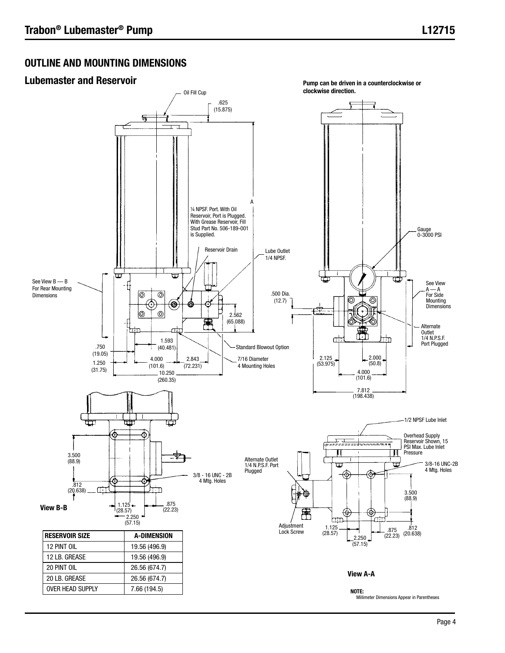L12715

#### OUTLINE AND MOUNTING DIMENSIONS

#### Lubemaster and Reservoir

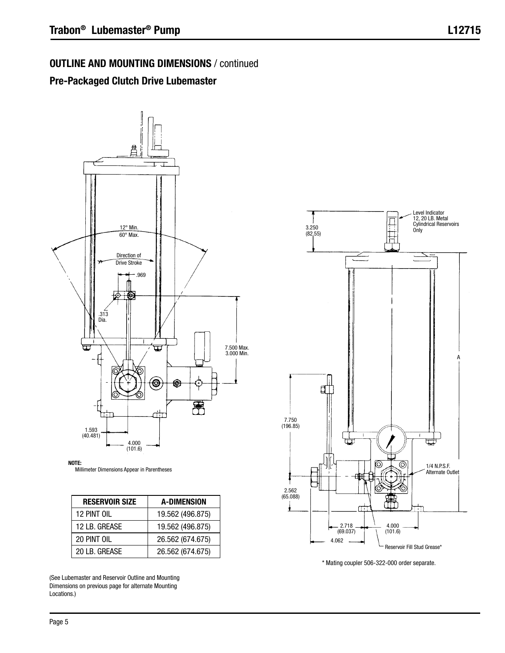# OUTLINE AND MOUNTING DIMENSIONS / continued

# Pre-Packaged Clutch Drive Lubemaster



NOTE: Millimeter Dimensions Appear in Parentheses

| <b>RESERVOIR SIZE</b> | <b>A-DIMENSION</b> |
|-----------------------|--------------------|
| 12 PINT OIL           | 19.562 (496.875)   |
| 12 LB. GREASE         | 19.562 (496.875)   |
| 20 PINT OIL           | 26.562 (674.675)   |
| 20 LB. GREASE         | 26.562 (674.675)   |

(See Lubemaster and Reservoir Outline and Mounting Dimensions on previous page for alternate Mounting Locations.)



\* Mating coupler 506-322-000 order separate.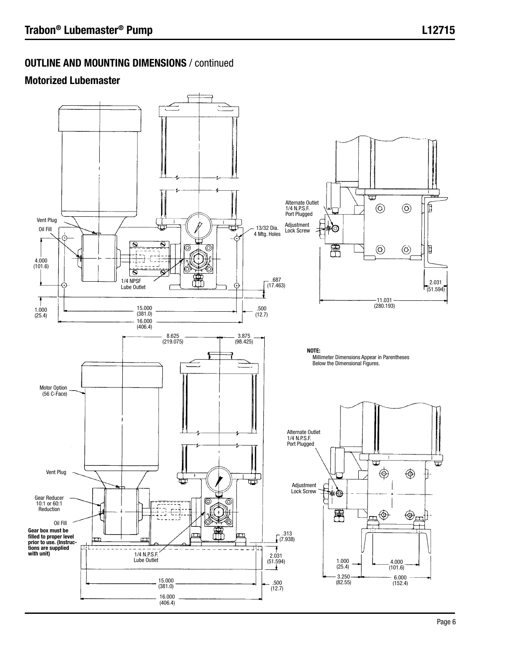# OUTLINE AND MOUNTING DIMENSIONS / continued

# Motorized Lubemaster

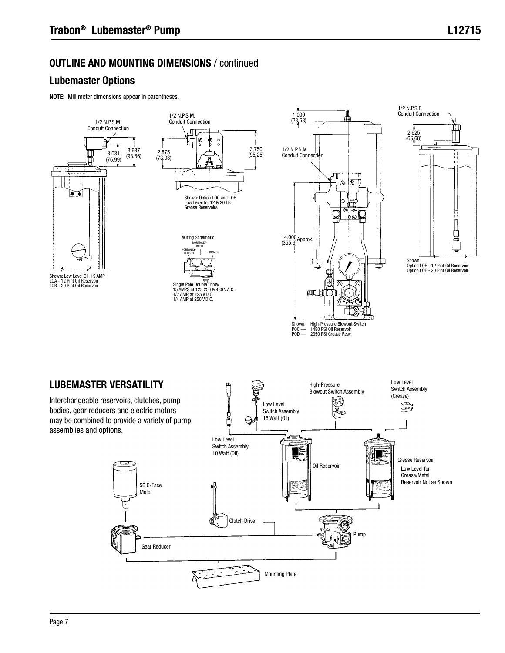# OUTLINE AND MOUNTING DIMENSIONS / continued

# Lubemaster Options

NOTE: Millimeter dimensions appear in parentheses.